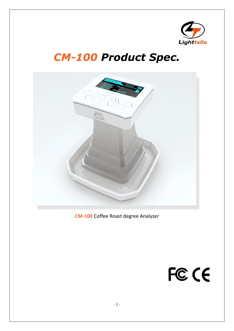

## *CM-100 Product Spec.*



**CM-100** Coffee Roast degree Analyzer

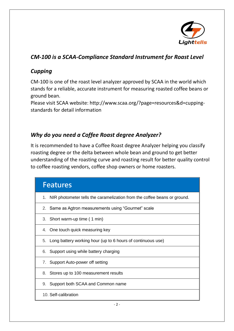

## *CM-100 is a SCAA-Compliance Standard Instrument for Roast Level*

## *Cupping*

CM-100 is one of the roast level analyzer approved by SCAA in the world which stands for a reliable, accurate instrument for measuring roasted coffee beans or ground bean.

Please visit SCAA website: [http://www.scaa.org/?page=resources&d=cupping](http://www.scaa.org/?page=resources&d=cupping-standards)[standards](http://www.scaa.org/?page=resources&d=cupping-standards) for detail information

## *Why do you need a Coffee Roast degree Analyzer?*

It is recommended to have a Coffee Roast degree Analyzer helping you classify roasting degree or the delta between whole bean and ground to get better understanding of the roasting curve and roasting result for better quality control to coffee roasting vendors, coffee shop owners or home roasters.

| <b>Features</b>                                                             |
|-----------------------------------------------------------------------------|
| 1. NIR photometer tells the caramelization from the coffee beans or ground. |
| 2. Same as Agtron measurements using "Gourmet" scale                        |
| 3. Short warm-up time (1 min)                                               |
| 4. One touch quick measuring key                                            |
| 5. Long battery working hour (up to 6 hours of continuous use)              |
| 6. Support using while battery charging                                     |
| 7. Support Auto-power off setting                                           |
| 8. Stores up to 100 measurement results                                     |
| 9. Support both SCAA and Common name                                        |
| 10. Self-calibration                                                        |